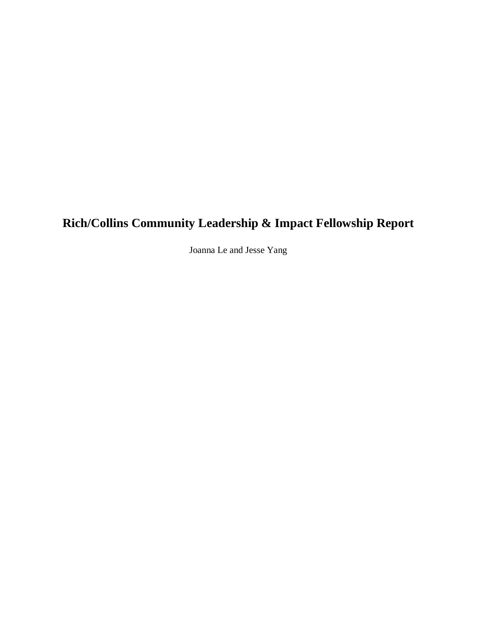# **Rich/Collins Community Leadership & Impact Fellowship Report**

Joanna Le and Jesse Yang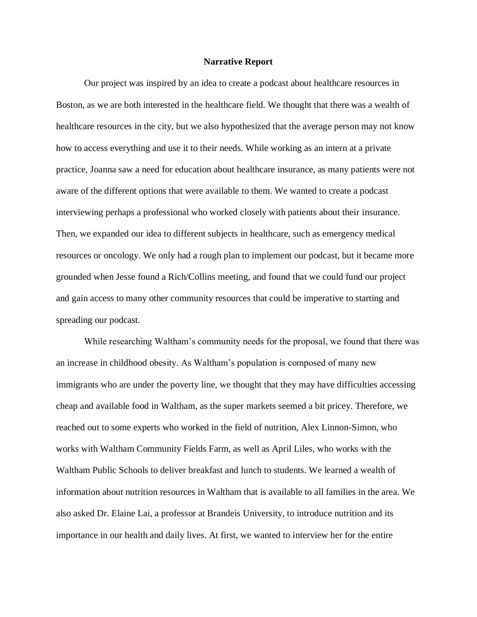#### **Narrative Report**

Our project was inspired by an idea to create a podcast about healthcare resources in Boston, as we are both interested in the healthcare field. We thought that there was a wealth of healthcare resources in the city, but we also hypothesized that the average person may not know how to access everything and use it to their needs. While working as an intern at a private practice, Joanna saw a need for education about healthcare insurance, as many patients were not aware of the different options that were available to them. We wanted to create a podcast interviewing perhaps a professional who worked closely with patients about their insurance. Then, we expanded our idea to different subjects in healthcare, such as emergency medical resources or oncology. We only had a rough plan to implement our podcast, but it became more grounded when Jesse found a Rich/Collins meeting, and found that we could fund our project and gain access to many other community resources that could be imperative to starting and spreading our podcast.

While researching Waltham's community needs for the proposal, we found that there was an increase in childhood obesity. As Waltham's population is composed of many new immigrants who are under the poverty line, we thought that they may have difficulties accessing cheap and available food in Waltham, as the super markets seemed a bit pricey. Therefore, we reached out to some experts who worked in the field of nutrition, Alex Linnon-Simon, who works with Waltham Community Fields Farm, as well as April Liles, who works with the Waltham Public Schools to deliver breakfast and lunch to students. We learned a wealth of information about nutrition resources in Waltham that is available to all families in the area. We also asked Dr. Elaine Lai, a professor at Brandeis University, to introduce nutrition and its importance in our health and daily lives. At first, we wanted to interview her for the entire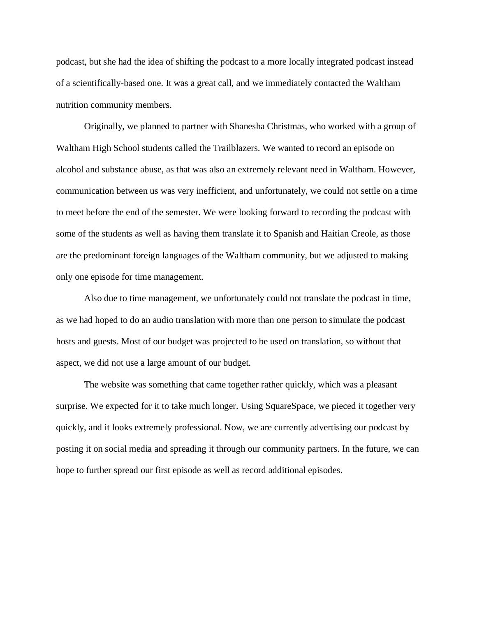podcast, but she had the idea of shifting the podcast to a more locally integrated podcast instead of a scientifically-based one. It was a great call, and we immediately contacted the Waltham nutrition community members.

Originally, we planned to partner with Shanesha Christmas, who worked with a group of Waltham High School students called the Trailblazers. We wanted to record an episode on alcohol and substance abuse, as that was also an extremely relevant need in Waltham. However, communication between us was very inefficient, and unfortunately, we could not settle on a time to meet before the end of the semester. We were looking forward to recording the podcast with some of the students as well as having them translate it to Spanish and Haitian Creole, as those are the predominant foreign languages of the Waltham community, but we adjusted to making only one episode for time management.

Also due to time management, we unfortunately could not translate the podcast in time, as we had hoped to do an audio translation with more than one person to simulate the podcast hosts and guests. Most of our budget was projected to be used on translation, so without that aspect, we did not use a large amount of our budget.

The website was something that came together rather quickly, which was a pleasant surprise. We expected for it to take much longer. Using SquareSpace, we pieced it together very quickly, and it looks extremely professional. Now, we are currently advertising our podcast by posting it on social media and spreading it through our community partners. In the future, we can hope to further spread our first episode as well as record additional episodes.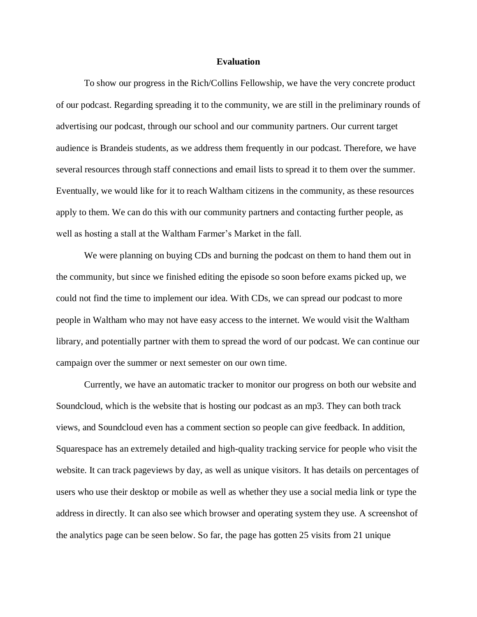#### **Evaluation**

To show our progress in the Rich/Collins Fellowship, we have the very concrete product of our podcast. Regarding spreading it to the community, we are still in the preliminary rounds of advertising our podcast, through our school and our community partners. Our current target audience is Brandeis students, as we address them frequently in our podcast. Therefore, we have several resources through staff connections and email lists to spread it to them over the summer. Eventually, we would like for it to reach Waltham citizens in the community, as these resources apply to them. We can do this with our community partners and contacting further people, as well as hosting a stall at the Waltham Farmer's Market in the fall.

We were planning on buying CDs and burning the podcast on them to hand them out in the community, but since we finished editing the episode so soon before exams picked up, we could not find the time to implement our idea. With CDs, we can spread our podcast to more people in Waltham who may not have easy access to the internet. We would visit the Waltham library, and potentially partner with them to spread the word of our podcast. We can continue our campaign over the summer or next semester on our own time.

Currently, we have an automatic tracker to monitor our progress on both our website and Soundcloud, which is the website that is hosting our podcast as an mp3. They can both track views, and Soundcloud even has a comment section so people can give feedback. In addition, Squarespace has an extremely detailed and high-quality tracking service for people who visit the website. It can track pageviews by day, as well as unique visitors. It has details on percentages of users who use their desktop or mobile as well as whether they use a social media link or type the address in directly. It can also see which browser and operating system they use. A screenshot of the analytics page can be seen below. So far, the page has gotten 25 visits from 21 unique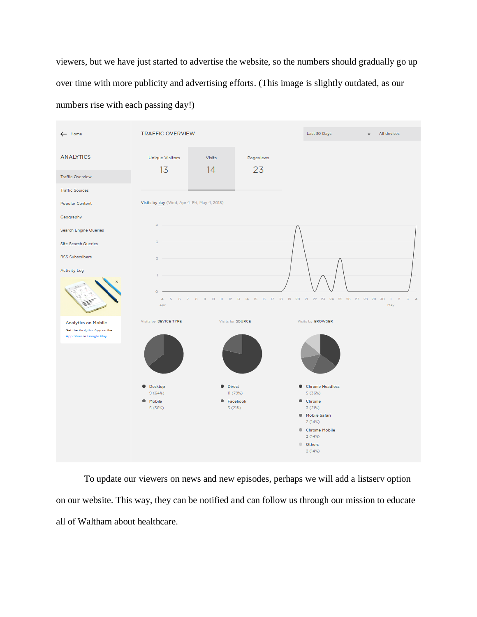viewers, but we have just started to advertise the website, so the numbers should gradually go up over time with more publicity and advertising efforts. (This image is slightly outdated, as our numbers rise with each passing day!)



To update our viewers on news and new episodes, perhaps we will add a listserv option on our website. This way, they can be notified and can follow us through our mission to educate all of Waltham about healthcare.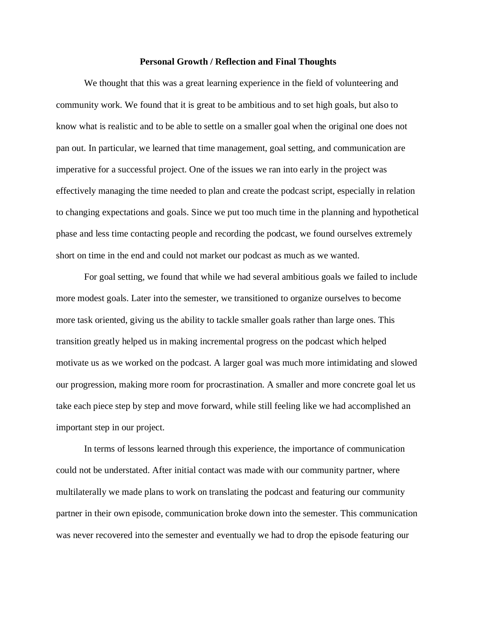#### **Personal Growth / Reflection and Final Thoughts**

We thought that this was a great learning experience in the field of volunteering and community work. We found that it is great to be ambitious and to set high goals, but also to know what is realistic and to be able to settle on a smaller goal when the original one does not pan out. In particular, we learned that time management, goal setting, and communication are imperative for a successful project. One of the issues we ran into early in the project was effectively managing the time needed to plan and create the podcast script, especially in relation to changing expectations and goals. Since we put too much time in the planning and hypothetical phase and less time contacting people and recording the podcast, we found ourselves extremely short on time in the end and could not market our podcast as much as we wanted.

For goal setting, we found that while we had several ambitious goals we failed to include more modest goals. Later into the semester, we transitioned to organize ourselves to become more task oriented, giving us the ability to tackle smaller goals rather than large ones. This transition greatly helped us in making incremental progress on the podcast which helped motivate us as we worked on the podcast. A larger goal was much more intimidating and slowed our progression, making more room for procrastination. A smaller and more concrete goal let us take each piece step by step and move forward, while still feeling like we had accomplished an important step in our project.

In terms of lessons learned through this experience, the importance of communication could not be understated. After initial contact was made with our community partner, where multilaterally we made plans to work on translating the podcast and featuring our community partner in their own episode, communication broke down into the semester. This communication was never recovered into the semester and eventually we had to drop the episode featuring our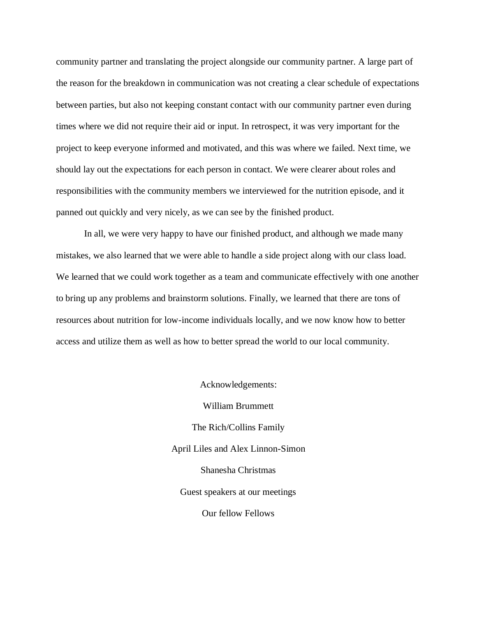community partner and translating the project alongside our community partner. A large part of the reason for the breakdown in communication was not creating a clear schedule of expectations between parties, but also not keeping constant contact with our community partner even during times where we did not require their aid or input. In retrospect, it was very important for the project to keep everyone informed and motivated, and this was where we failed. Next time, we should lay out the expectations for each person in contact. We were clearer about roles and responsibilities with the community members we interviewed for the nutrition episode, and it panned out quickly and very nicely, as we can see by the finished product.

In all, we were very happy to have our finished product, and although we made many mistakes, we also learned that we were able to handle a side project along with our class load. We learned that we could work together as a team and communicate effectively with one another to bring up any problems and brainstorm solutions. Finally, we learned that there are tons of resources about nutrition for low-income individuals locally, and we now know how to better access and utilize them as well as how to better spread the world to our local community.

> Acknowledgements: William Brummett The Rich/Collins Family April Liles and Alex Linnon-Simon Shanesha Christmas Guest speakers at our meetings Our fellow Fellows